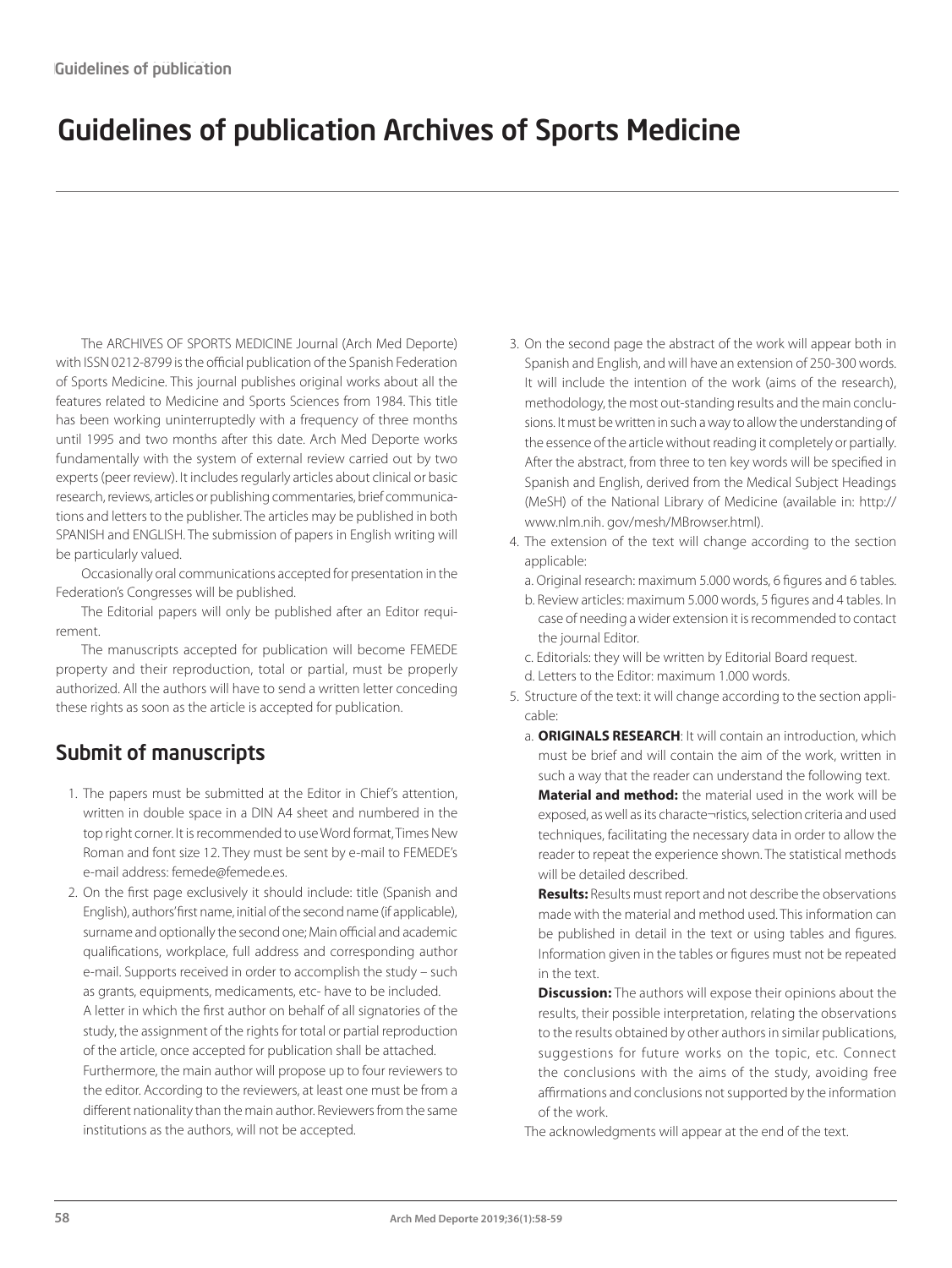## Guidelines of publication Archives of Sports Medicine

The ARCHIVES OF SPORTS MEDICINE Journal (Arch Med Deporte) with ISSN 0212-8799 is the official publication of the Spanish Federation of Sports Medicine. This journal publishes original works about all the features related to Medicine and Sports Sciences from 1984. This title has been working uninterruptedly with a frequency of three months until 1995 and two months after this date. Arch Med Deporte works fundamentally with the system of external review carried out by two experts (peer review). It includes regularly articles about clinical or basic research, reviews, articles or publishing commentaries, brief communications and letters to the publisher. The articles may be published in both SPANISH and ENGLISH. The submission of papers in English writing will be particularly valued.

Occasionally oral communications accepted for presentation in the Federation's Congresses will be published.

The Editorial papers will only be published after an Editor requirement.

The manuscripts accepted for publication will become FEMEDE property and their reproduction, total or partial, must be properly authorized. All the authors will have to send a written letter conceding these rights as soon as the article is accepted for publication.

## Submit of manuscripts

- 1. The papers must be submitted at the Editor in Chief's attention, written in double space in a DIN A4 sheet and numbered in the top right corner. It is recommended to use Word format, Times New Roman and font size 12. They must be sent by e-mail to FEMEDE's e-mail address: femede@femede.es.
- 2. On the first page exclusively it should include: title (Spanish and English), authors' first name, initial of the second name (if applicable), surname and optionally the second one; Main official and academic qualifications, workplace, full address and corresponding author e-mail. Supports received in order to accomplish the study – such as grants, equipments, medicaments, etc- have to be included. A letter in which the first author on behalf of all signatories of the study, the assignment of the rights for total or partial reproduction of the article, once accepted for publication shall be attached. Furthermore, the main author will propose up to four reviewers to the editor. According to the reviewers, at least one must be from a different nationality than the main author. Reviewers from the same institutions as the authors, will not be accepted.
- 3. On the second page the abstract of the work will appear both in Spanish and English, and will have an extension of 250-300 words. It will include the intention of the work (aims of the research), methodology, the most out-standing results and the main conclusions. It must be written in such a way to allow the understanding of the essence of the article without reading it completely or partially. After the abstract, from three to ten key words will be specified in Spanish and English, derived from the Medical Subject Headings (MeSH) of the National Library of Medicine (available in: http:// www.nlm.nih. gov/mesh/MBrowser.html).
- 4. The extension of the text will change according to the section applicable:
	- a. Original research: maximum 5.000 words, 6 figures and 6 tables.
	- b. Review articles: maximum 5.000 words, 5 figures and 4 tables. In case of needing a wider extension it is recommended to contact the journal Editor.
	- c. Editorials: they will be written by Editorial Board request.
	- d. Letters to the Editor: maximum 1.000 words.
- 5. Structure of the text: it will change according to the section applicable:
	- a. **ORIGINALS RESEARCH**: It will contain an introduction, which must be brief and will contain the aim of the work, written in such a way that the reader can understand the following text. **Material and method:** the material used in the work will be exposed, as well as its characte¬ristics, selection criteria and used techniques, facilitating the necessary data in order to allow the reader to repeat the experience shown. The statistical methods will be detailed described.

**Results:** Results must report and not describe the observations made with the material and method used. This information can be published in detail in the text or using tables and figures. Information given in the tables or figures must not be repeated in the text.

**Discussion:** The authors will expose their opinions about the results, their possible interpretation, relating the observations to the results obtained by other authors in similar publications, suggestions for future works on the topic, etc. Connect the conclusions with the aims of the study, avoiding free affirmations and conclusions not supported by the information of the work.

The acknowledgments will appear at the end of the text.